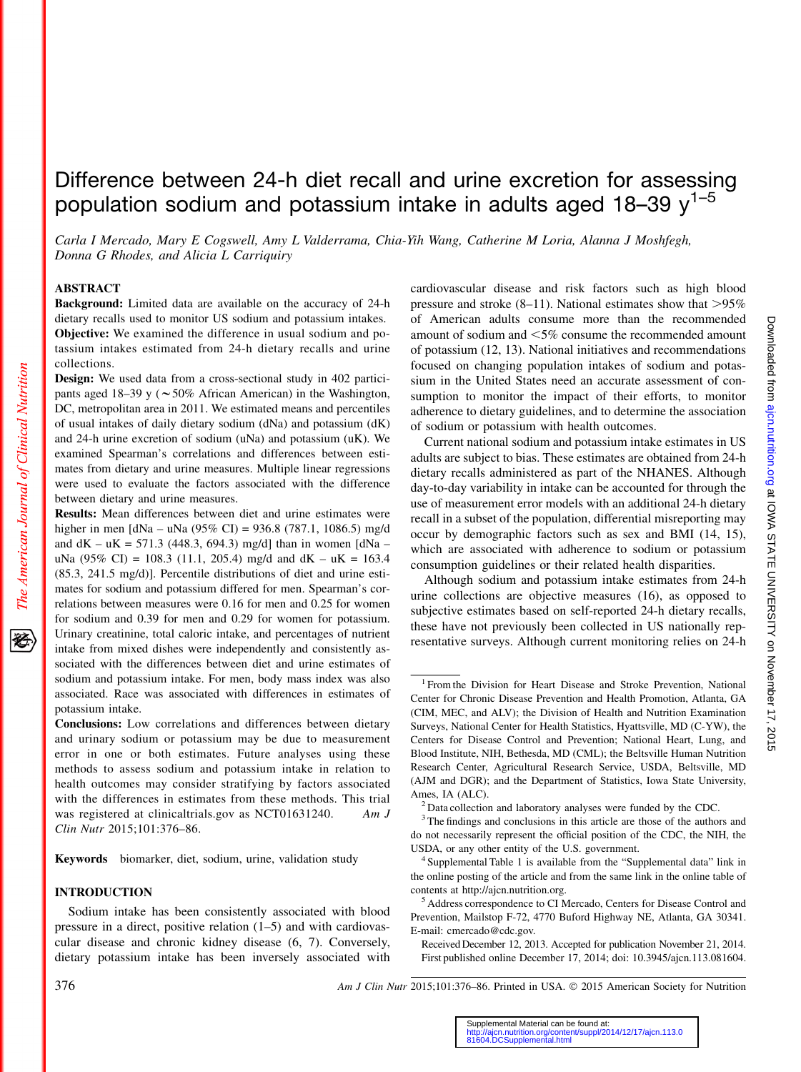# Difference between 24-h diet recall and urine excretion for assessing population sodium and potassium intake in adults aged 18-39  $y^{1-5}$

Carla I Mercado, Mary E Cogswell, Amy L Valderrama, Chia-Yih Wang, Catherine M Loria, Alanna J Moshfegh, Donna G Rhodes, and Alicia L Carriquiry

#### ABSTRACT

The American Journal of Clinical Nutrition

移

Background: Limited data are available on the accuracy of 24-h dietary recalls used to monitor US sodium and potassium intakes. Objective: We examined the difference in usual sodium and potassium intakes estimated from 24-h dietary recalls and urine collections.

Design: We used data from a cross-sectional study in 402 participants aged 18–39 y ( $\sim$  50% African American) in the Washington, DC, metropolitan area in 2011. We estimated means and percentiles of usual intakes of daily dietary sodium (dNa) and potassium (dK) and 24-h urine excretion of sodium (uNa) and potassium (uK). We examined Spearman's correlations and differences between estimates from dietary and urine measures. Multiple linear regressions were used to evaluate the factors associated with the difference between dietary and urine measures.

Results: Mean differences between diet and urine estimates were higher in men [dNa – uNa (95% CI) = 936.8 (787.1, 1086.5) mg/d and  $dK - uK = 571.3$  (448.3, 694.3) mg/d than in women  $[dNa$ uNa (95% CI) = 108.3 (11.1, 205.4) mg/d and dK – uK = 163.4 (85.3, 241.5 mg/d)]. Percentile distributions of diet and urine estimates for sodium and potassium differed for men. Spearman's correlations between measures were 0.16 for men and 0.25 for women for sodium and 0.39 for men and 0.29 for women for potassium. Urinary creatinine, total caloric intake, and percentages of nutrient intake from mixed dishes were independently and consistently associated with the differences between diet and urine estimates of sodium and potassium intake. For men, body mass index was also associated. Race was associated with differences in estimates of potassium intake.

Conclusions: Low correlations and differences between dietary and urinary sodium or potassium may be due to measurement error in one or both estimates. Future analyses using these methods to assess sodium and potassium intake in relation to health outcomes may consider stratifying by factors associated with the differences in estimates from these methods. This trial was registered at clinicaltrials.gov as NCT01631240. Am J Clin Nutr 2015;101:376–86.

Keywords biomarker, diet, sodium, urine, validation study

#### INTRODUCTION

Sodium intake has been consistently associated with blood pressure in a direct, positive relation (1–5) and with cardiovascular disease and chronic kidney disease (6, 7). Conversely, dietary potassium intake has been inversely associated with

cardiovascular disease and risk factors such as high blood pressure and stroke  $(8-11)$ . National estimates show that  $>95\%$ of American adults consume more than the recommended amount of sodium and  $\leq 5\%$  consume the recommended amount of potassium (12, 13). National initiatives and recommendations focused on changing population intakes of sodium and potassium in the United States need an accurate assessment of consumption to monitor the impact of their efforts, to monitor adherence to dietary guidelines, and to determine the association of sodium or potassium with health outcomes.

Current national sodium and potassium intake estimates in US adults are subject to bias. These estimates are obtained from 24-h dietary recalls administered as part of the NHANES. Although day-to-day variability in intake can be accounted for through the use of measurement error models with an additional 24-h dietary recall in a subset of the population, differential misreporting may occur by demographic factors such as sex and BMI (14, 15), which are associated with adherence to sodium or potassium consumption guidelines or their related health disparities.

Although sodium and potassium intake estimates from 24-h urine collections are objective measures (16), as opposed to subjective estimates based on self-reported 24-h dietary recalls, these have not previously been collected in US nationally representative surveys. Although current monitoring relies on 24-h

<sup>&</sup>lt;sup>1</sup> From the Division for Heart Disease and Stroke Prevention, National Center for Chronic Disease Prevention and Health Promotion, Atlanta, GA (CIM, MEC, and ALV); the Division of Health and Nutrition Examination Surveys, National Center for Health Statistics, Hyattsville, MD (C-YW), the Centers for Disease Control and Prevention; National Heart, Lung, and Blood Institute, NIH, Bethesda, MD (CML); the Beltsville Human Nutrition Research Center, Agricultural Research Service, USDA, Beltsville, MD (AJM and DGR); and the Department of Statistics, Iowa State University, Ames, IA (ALC).  $\frac{2}{1}$  Data collection and laboratory analyses were funded by the CDC.

<sup>&</sup>lt;sup>3</sup> The findings and conclusions in this article are those of the authors and do not necessarily represent the official position of the CDC, the NIH, the USDA, or any other entity of the U.S. government. <sup>4</sup> Supplemental Table 1 is available from the "Supplemental data" link in

the online posting of the article and from the same link in the online table of contents at http://ajcn.nutrition.org.

<sup>&</sup>lt;sup>5</sup> Address correspondence to CI Mercado, Centers for Disease Control and Prevention, Mailstop F-72, 4770 Buford Highway NE, Atlanta, GA 30341. E-mail: cmercado@cdc.gov.

Received December 12, 2013. Accepted for publication November 21, 2014. First published online December 17, 2014; doi: 10.3945/ajcn.113.081604.

<sup>376</sup> **Am J Clin Nutr 2015;101:376–86. Printed in USA.** © 2015 American Society for Nutrition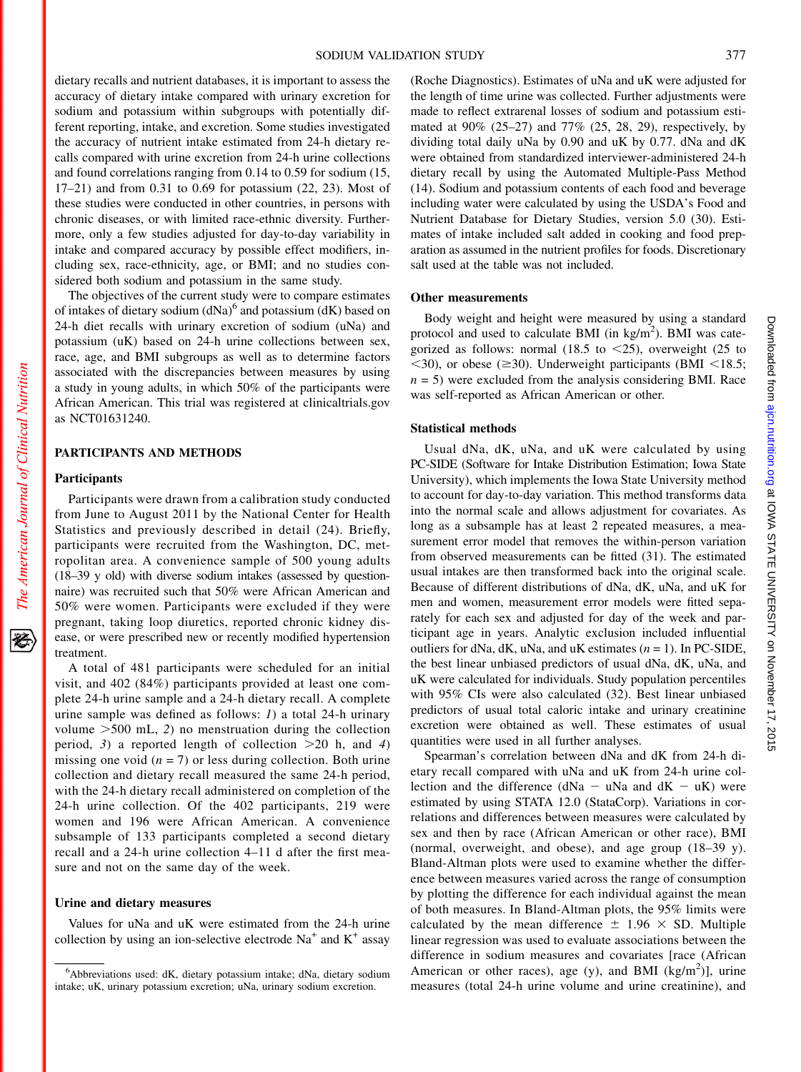dietary recalls and nutrient databases, it is important to assess the accuracy of dietary intake compared with urinary excretion for sodium and potassium within subgroups with potentially different reporting, intake, and excretion. Some studies investigated the accuracy of nutrient intake estimated from 24-h dietary recalls compared with urine excretion from 24-h urine collections and found correlations ranging from 0.14 to 0.59 for sodium (15, 17–21) and from 0.31 to 0.69 for potassium (22, 23). Most of these studies were conducted in other countries, in persons with chronic diseases, or with limited race-ethnic diversity. Furthermore, only a few studies adjusted for day-to-day variability in intake and compared accuracy by possible effect modifiers, including sex, race-ethnicity, age, or BMI; and no studies considered both sodium and potassium in the same study.

The objectives of the current study were to compare estimates of intakes of dietary sodium  $(dNa)^6$  and potassium  $(dK)$  based on 24-h diet recalls with urinary excretion of sodium (uNa) and potassium (uK) based on 24-h urine collections between sex, race, age, and BMI subgroups as well as to determine factors associated with the discrepancies between measures by using a study in young adults, in which 50% of the participants were African American. This trial was registered at clinicaltrials.gov as NCT01631240.

# PARTICIPANTS AND METHODS

#### **Participants**

Participants were drawn from a calibration study conducted from June to August 2011 by the National Center for Health Statistics and previously described in detail (24). Briefly, participants were recruited from the Washington, DC, metropolitan area. A convenience sample of 500 young adults (18–39 y old) with diverse sodium intakes (assessed by questionnaire) was recruited such that 50% were African American and 50% were women. Participants were excluded if they were pregnant, taking loop diuretics, reported chronic kidney disease, or were prescribed new or recently modified hypertension treatment.

A total of 481 participants were scheduled for an initial visit, and 402 (84%) participants provided at least one complete 24-h urine sample and a 24-h dietary recall. A complete urine sample was defined as follows: 1) a total 24-h urinary volume  $>500$  mL, 2) no menstruation during the collection period, 3) a reported length of collection  $>20$  h, and 4) missing one void  $(n = 7)$  or less during collection. Both urine collection and dietary recall measured the same 24-h period, with the 24-h dietary recall administered on completion of the 24-h urine collection. Of the 402 participants, 219 were women and 196 were African American. A convenience subsample of 133 participants completed a second dietary recall and a 24-h urine collection 4–11 d after the first measure and not on the same day of the week.

#### Urine and dietary measures

Values for uNa and uK were estimated from the 24-h urine collection by using an ion-selective electrode  $Na<sup>+</sup>$  and  $K<sup>+</sup>$  assay (Roche Diagnostics). Estimates of uNa and uK were adjusted for the length of time urine was collected. Further adjustments were made to reflect extrarenal losses of sodium and potassium estimated at 90% (25–27) and 77% (25, 28, 29), respectively, by dividing total daily uNa by 0.90 and uK by 0.77. dNa and dK were obtained from standardized interviewer-administered 24-h dietary recall by using the Automated Multiple-Pass Method (14). Sodium and potassium contents of each food and beverage including water were calculated by using the USDA's Food and Nutrient Database for Dietary Studies, version 5.0 (30). Estimates of intake included salt added in cooking and food preparation as assumed in the nutrient profiles for foods. Discretionary salt used at the table was not included.

# Other measurements

Body weight and height were measured by using a standard protocol and used to calculate BMI (in  $\text{kg/m}^2$ ). BMI was categorized as follows: normal (18.5 to  $\leq$ 25), overweight (25 to  $\langle 30 \rangle$ , or obese ( $\geq 30$ ). Underweight participants (BMI  $\langle 18.5;$  $n = 5$ ) were excluded from the analysis considering BMI. Race was self-reported as African American or other.

## Statistical methods

Usual dNa, dK, uNa, and uK were calculated by using PC-SIDE (Software for Intake Distribution Estimation; Iowa State University), which implements the Iowa State University method to account for day-to-day variation. This method transforms data into the normal scale and allows adjustment for covariates. As long as a subsample has at least 2 repeated measures, a measurement error model that removes the within-person variation from observed measurements can be fitted (31). The estimated usual intakes are then transformed back into the original scale. Because of different distributions of dNa, dK, uNa, and uK for men and women, measurement error models were fitted separately for each sex and adjusted for day of the week and participant age in years. Analytic exclusion included influential outliers for dNa, dK, uNa, and uK estimates  $(n = 1)$ . In PC-SIDE, the best linear unbiased predictors of usual dNa, dK, uNa, and uK were calculated for individuals. Study population percentiles with 95% CIs were also calculated (32). Best linear unbiased predictors of usual total caloric intake and urinary creatinine excretion were obtained as well. These estimates of usual quantities were used in all further analyses.

Spearman's correlation between dNa and dK from 24-h dietary recall compared with uNa and uK from 24-h urine collection and the difference ( $dNa - uNa$  and  $dK - uK$ ) were estimated by using STATA 12.0 (StataCorp). Variations in correlations and differences between measures were calculated by sex and then by race (African American or other race), BMI (normal, overweight, and obese), and age group (18–39 y). Bland-Altman plots were used to examine whether the difference between measures varied across the range of consumption by plotting the difference for each individual against the mean of both measures. In Bland-Altman plots, the 95% limits were calculated by the mean difference  $\pm$  1.96  $\times$  SD. Multiple linear regression was used to evaluate associations between the difference in sodium measures and covariates [race (African American or other races), age (y), and BMI  $(kg/m<sup>2</sup>)$ ], urine measures (total 24-h urine volume and urine creatinine), and

移

<sup>6</sup> Abbreviations used: dK, dietary potassium intake; dNa, dietary sodium intake; uK, urinary potassium excretion; uNa, urinary sodium excretion.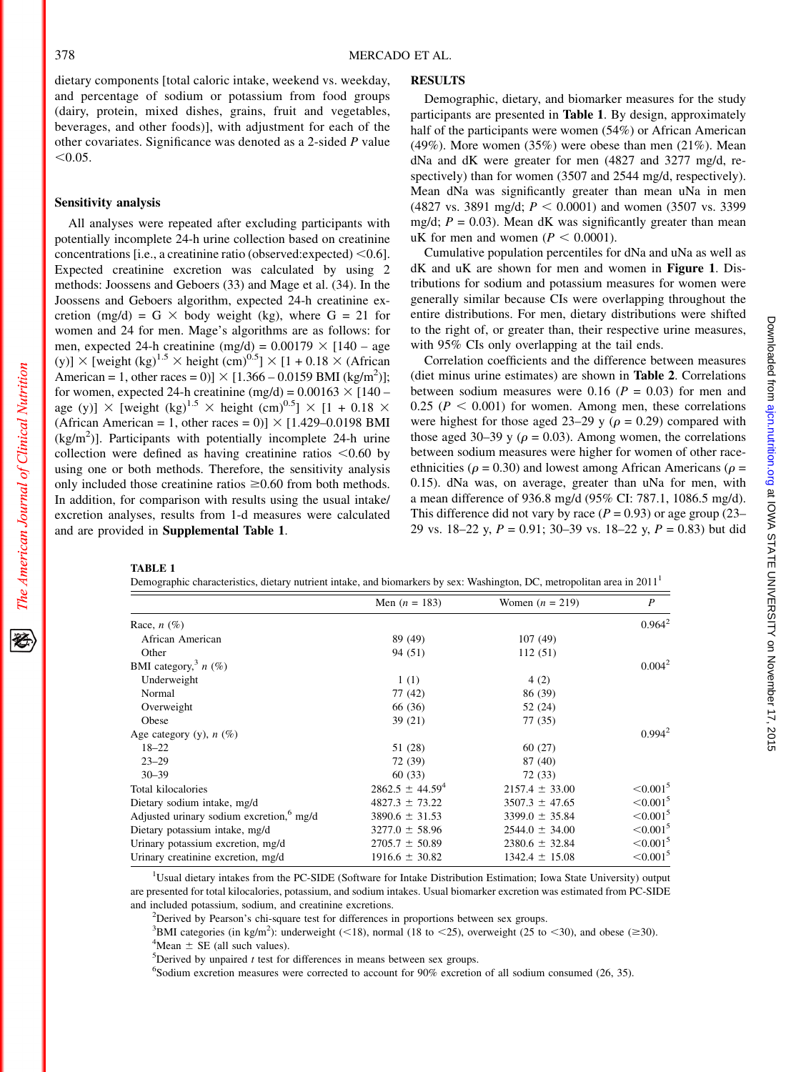dietary components [total caloric intake, weekend vs. weekday, and percentage of sodium or potassium from food groups (dairy, protein, mixed dishes, grains, fruit and vegetables, beverages, and other foods)], with adjustment for each of the other covariates. Significance was denoted as a 2-sided P value  $< 0.05$ .

#### Sensitivity analysis

All analyses were repeated after excluding participants with potentially incomplete 24-h urine collection based on creatinine concentrations [i.e., a creatinine ratio (observed: expected)  $<$  0.6]. Expected creatinine excretion was calculated by using 2 methods: Joossens and Geboers (33) and Mage et al. (34). In the Joossens and Geboers algorithm, expected 24-h creatinine excretion (mg/d) = G  $\times$  body weight (kg), where G = 21 for women and 24 for men. Mage's algorithms are as follows: for men, expected 24-h creatinine (mg/d) =  $0.00179 \times 140$  – age (y)]  $\times$  [weight (kg)<sup>1.5</sup>  $\times$  height (cm)<sup>0.5</sup>]  $\times$  [1 + 0.18  $\times$  (African American = 1, other races = 0)]  $\times$  [1.366 – 0.0159 BMI (kg/m<sup>2</sup>)]; for women, expected 24-h creatinine (mg/d) =  $0.00163 \times [140$ age (y)]  $\times$  [weight (kg)<sup>1.5</sup>  $\times$  height (cm)<sup>0.5</sup>]  $\times$  [1 + 0.18  $\times$ (African American = 1, other races = 0)]  $\times$  [1.429–0.0198 BMI  $(kg/m<sup>2</sup>)$ ]. Participants with potentially incomplete 24-h urine collection were defined as having creatinine ratios  $<0.60$  by using one or both methods. Therefore, the sensitivity analysis only included those creatinine ratios  $\geq 0.60$  from both methods. In addition, for comparison with results using the usual intake/ excretion analyses, results from 1-d measures were calculated and are provided in Supplemental Table 1.

# **RESULTS**

Demographic, dietary, and biomarker measures for the study participants are presented in Table 1. By design, approximately half of the participants were women (54%) or African American (49%). More women (35%) were obese than men (21%). Mean dNa and dK were greater for men (4827 and 3277 mg/d, respectively) than for women (3507 and 2544 mg/d, respectively). Mean dNa was significantly greater than mean uNa in men (4827 vs. 3891 mg/d;  $P < 0.0001$ ) and women (3507 vs. 3399) mg/d;  $P = 0.03$ ). Mean dK was significantly greater than mean uK for men and women ( $P < 0.0001$ ).

Cumulative population percentiles for dNa and uNa as well as dK and uK are shown for men and women in Figure 1. Distributions for sodium and potassium measures for women were generally similar because CIs were overlapping throughout the entire distributions. For men, dietary distributions were shifted to the right of, or greater than, their respective urine measures, with 95% CIs only overlapping at the tail ends.

Correlation coefficients and the difference between measures (diet minus urine estimates) are shown in Table 2. Correlations between sodium measures were 0.16 ( $P = 0.03$ ) for men and  $0.25$  ( $P < 0.001$ ) for women. Among men, these correlations were highest for those aged 23–29 y ( $\rho = 0.29$ ) compared with those aged 30–39 y ( $\rho = 0.03$ ). Among women, the correlations between sodium measures were higher for women of other raceethnicities ( $\rho = 0.30$ ) and lowest among African Americans ( $\rho =$ 0.15). dNa was, on average, greater than uNa for men, with a mean difference of 936.8 mg/d (95% CI: 787.1, 1086.5 mg/d). This difference did not vary by race  $(P = 0.93)$  or age group (23– 29 vs. 18–22 y,  $P = 0.91$ ; 30–39 vs. 18–22 y,  $P = 0.83$ ) but did

The American Journal of Clinical Nutrition

TABLE 1

| Demographic characteristics, dietary nutrient intake, and biomarkers by sex: Washington, DC, metropolitan area in 2011 <sup>1</sup> |  |  |
|-------------------------------------------------------------------------------------------------------------------------------------|--|--|
|                                                                                                                                     |  |  |

|                                                      | Men $(n = 183)$      | Women $(n = 219)$  | $\boldsymbol{P}$          |
|------------------------------------------------------|----------------------|--------------------|---------------------------|
| Race, $n$ (%)                                        |                      |                    | $0.964^2$                 |
| African American                                     | 89 (49)              | 107(49)            |                           |
| Other                                                | 94 (51)              | 112(51)            |                           |
| BMI category, $n(\%)$                                |                      |                    | $0.004^2$                 |
| Underweight                                          | 1(1)                 | 4(2)               |                           |
| Normal                                               | 77 (42)              | 86 (39)            |                           |
| Overweight                                           | 66 (36)              | 52 (24)            |                           |
| Obese                                                | 39(21)               | 77 (35)            |                           |
| Age category (y), $n$ (%)                            |                      |                    | $0.994^2$                 |
| $18 - 22$                                            | 51 (28)              | 60(27)             |                           |
| $23 - 29$                                            | 72 (39)              | 87 (40)            |                           |
| $30 - 39$                                            | 60 (33)              | 72 (33)            |                           |
| Total kilocalories                                   | $2862.5 \pm 44.59^4$ | $2157.4 \pm 33.00$ | $\leq 0.001^5$            |
| Dietary sodium intake, mg/d                          | $4827.3 \pm 73.22$   | $3507.3 \pm 47.65$ | $\leq 0.001^5$            |
| Adjusted urinary sodium excretion, <sup>6</sup> mg/d | $3890.6 \pm 31.53$   | $3399.0 \pm 35.84$ | $\leq 0.001^5$            |
| Dietary potassium intake, mg/d                       | $3277.0 \pm 58.96$   | $2544.0 \pm 34.00$ | $\leq 0.001^5$            |
| Urinary potassium excretion, mg/d                    | $2705.7 \pm 50.89$   | $2380.6 \pm 32.84$ | $\leq 0.001$ <sup>5</sup> |
| Urinary creatinine excretion, mg/d                   | $1916.6 \pm 30.82$   | $1342.4 \pm 15.08$ | $\leq 0.001^5$            |
|                                                      |                      |                    |                           |

<sup>1</sup>Usual dietary intakes from the PC-SIDE (Software for Intake Distribution Estimation; Iowa State University) output are presented for total kilocalories, potassium, and sodium intakes. Usual biomarker excretion was estimated from PC-SIDE and included potassium, sodium, and creatinine excretions.

<sup>2</sup>Derived by Pearson's chi-square test for differences in proportions between sex groups.

<sup>3</sup>BMI categories (in kg/m<sup>2</sup>): underweight (<18), normal (18 to <25), overweight (25 to <30), and obese ( $\geq$ 30). <sup>4</sup>Mean  $\pm$  SE (all such values)

<sup>4</sup>Mean  $\pm$  SE (all such values).

 $^5$ Derived by unpaired t test for differences in means between sex groups.

6 Sodium excretion measures were corrected to account for 90% excretion of all sodium consumed (26, 35).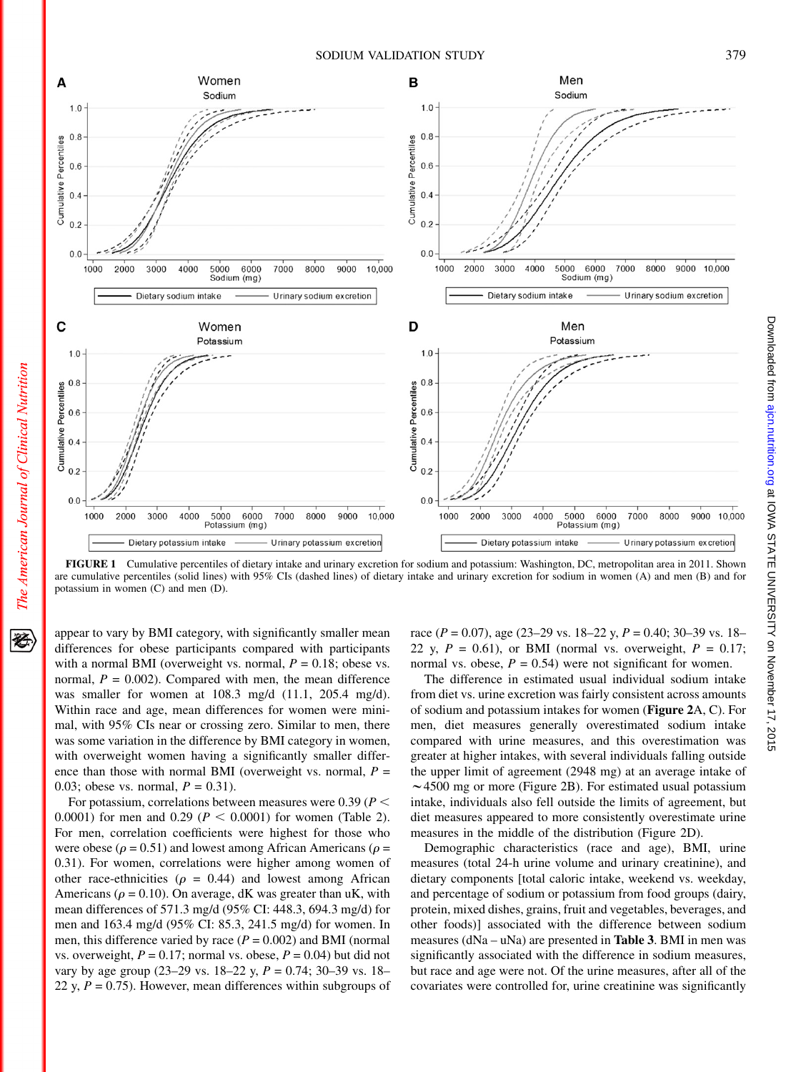

FIGURE 1 Cumulative percentiles of dietary intake and urinary excretion for sodium and potassium: Washington, DC, metropolitan area in 2011. Shown are cumulative percentiles (solid lines) with 95% CIs (dashed lines) of dietary intake and urinary excretion for sodium in women (A) and men (B) and for potassium in women (C) and men (D).

appear to vary by BMI category, with significantly smaller mean differences for obese participants compared with participants with a normal BMI (overweight vs. normal,  $P = 0.18$ ; obese vs. normal,  $P = 0.002$ ). Compared with men, the mean difference was smaller for women at 108.3 mg/d (11.1, 205.4 mg/d). Within race and age, mean differences for women were minimal, with 95% CIs near or crossing zero. Similar to men, there was some variation in the difference by BMI category in women, with overweight women having a significantly smaller difference than those with normal BMI (overweight vs. normal,  $P =$ 0.03; obese vs. normal,  $P = 0.31$ ).

For potassium, correlations between measures were 0.39 ( $P$  < 0.0001) for men and 0.29 ( $P < 0.0001$ ) for women (Table 2). For men, correlation coefficients were highest for those who were obese ( $\rho$  = 0.51) and lowest among African Americans ( $\rho$  = 0.31). For women, correlations were higher among women of other race-ethnicities ( $\rho = 0.44$ ) and lowest among African Americans ( $\rho = 0.10$ ). On average, dK was greater than uK, with mean differences of 571.3 mg/d (95% CI: 448.3, 694.3 mg/d) for men and 163.4 mg/d (95% CI: 85.3, 241.5 mg/d) for women. In men, this difference varied by race  $(P = 0.002)$  and BMI (normal vs. overweight,  $P = 0.17$ ; normal vs. obese,  $P = 0.04$ ) but did not vary by age group (23–29 vs. 18–22 y,  $P = 0.74$ ; 30–39 vs. 18– 22 y,  $P = 0.75$ ). However, mean differences within subgroups of

race ( $P = 0.07$ ), age (23–29 vs. 18–22 y,  $P = 0.40$ ; 30–39 vs. 18– 22 y,  $P = 0.61$ ), or BMI (normal vs. overweight,  $P = 0.17$ ; normal vs. obese,  $P = 0.54$ ) were not significant for women.

The difference in estimated usual individual sodium intake from diet vs. urine excretion was fairly consistent across amounts of sodium and potassium intakes for women (Figure 2A, C). For men, diet measures generally overestimated sodium intake compared with urine measures, and this overestimation was greater at higher intakes, with several individuals falling outside the upper limit of agreement (2948 mg) at an average intake of  $\sim$  4500 mg or more (Figure 2B). For estimated usual potassium intake, individuals also fell outside the limits of agreement, but diet measures appeared to more consistently overestimate urine measures in the middle of the distribution (Figure 2D).

Demographic characteristics (race and age), BMI, urine measures (total 24-h urine volume and urinary creatinine), and dietary components [total caloric intake, weekend vs. weekday, and percentage of sodium or potassium from food groups (dairy, protein, mixed dishes, grains, fruit and vegetables, beverages, and other foods)] associated with the difference between sodium measures  $(dNa - uNa)$  are presented in **Table 3**. BMI in men was significantly associated with the difference in sodium measures, but race and age were not. Of the urine measures, after all of the covariates were controlled for, urine creatinine was significantly

经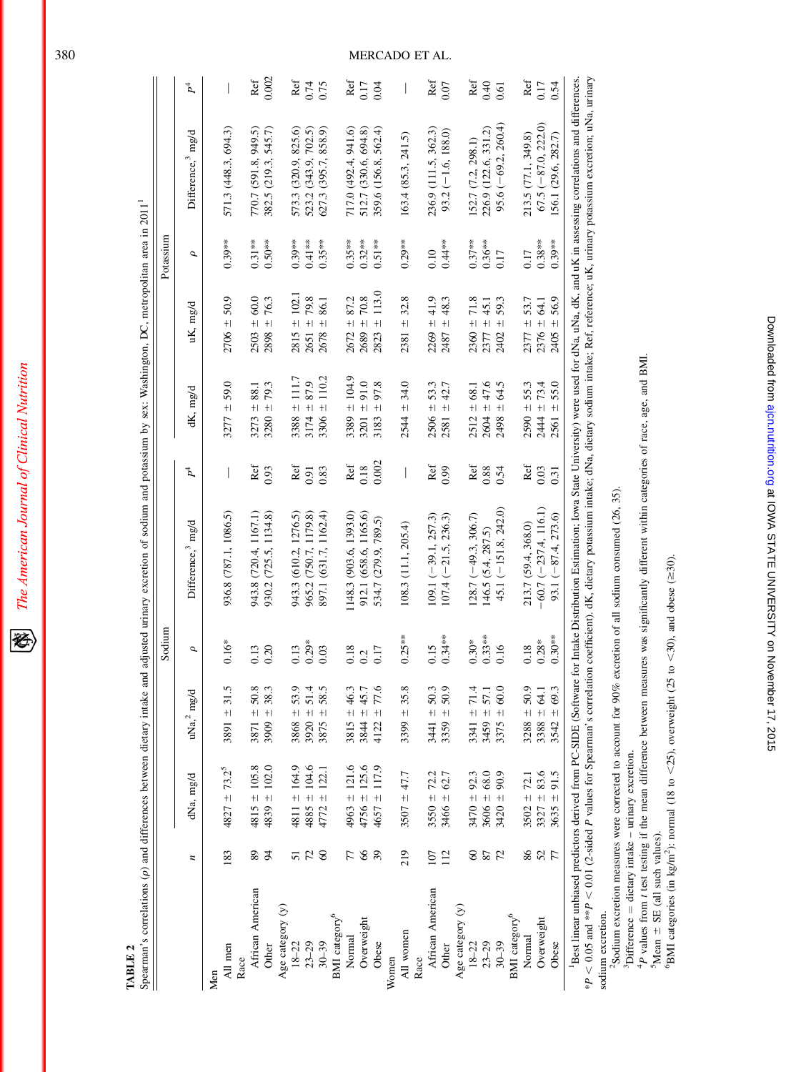| I |
|---|
|   |

TABLE<sub>2</sub> TABLE 2

| $\frac{1}{2}$        |
|----------------------|
|                      |
| I                    |
|                      |
|                      |
|                      |
|                      |
| l<br>I               |
|                      |
|                      |
|                      |
|                      |
| l                    |
| i<br>č               |
|                      |
|                      |
| ---------            |
| į                    |
| j                    |
|                      |
|                      |
|                      |
|                      |
|                      |
|                      |
|                      |
|                      |
|                      |
| $\overline{a}$       |
|                      |
| ļ<br>֚֘֝֬            |
|                      |
|                      |
| ׇ֚֬֡                 |
|                      |
| $\ddot{\phantom{a}}$ |
|                      |
|                      |
|                      |
|                      |
|                      |
|                      |
|                      |
|                      |
| ׇ֚֬֡֡֡֡֡֡            |
| ì                    |
| i<br>f               |
| ļ<br>ׇ֦֡             |
|                      |
|                      |
| į                    |
|                      |
|                      |
|                      |
|                      |
| l                    |
| i                    |
| ı                    |
|                      |
|                      |
|                      |
|                      |
| ׇ֠                   |
|                      |

|                                 |                |                   |                 | Sodium    |                                                                                                                                                                                                        |        |                      |                       | Potassium |                               |                          |
|---------------------------------|----------------|-------------------|-----------------|-----------|--------------------------------------------------------------------------------------------------------------------------------------------------------------------------------------------------------|--------|----------------------|-----------------------|-----------|-------------------------------|--------------------------|
|                                 | $\overline{a}$ | dNa, mg/d         | $uNa2mg/d$      | σ         | Difference, <sup>3</sup> mg/d                                                                                                                                                                          | Þ,     | dK, mg/d             | uK, mg/d              | σ         | Difference, <sup>3</sup> mg/d | $\mathcal{P}^4$          |
| All men<br>Men                  | 183            | $4827 \pm 73.2^5$ | $3891 \pm 31.5$ | $0.16*$   | 936.8 (787.1, 1086.5)                                                                                                                                                                                  |        | $3277 = 59.0$        | $2706 \pm 50.9$       | $0.39**$  | 571.3 (448.3, 694.3)          |                          |
| Race                            |                |                   |                 |           |                                                                                                                                                                                                        |        |                      |                       |           |                               |                          |
| African American                | 89             | $4815 \pm 105.8$  | $3871 \pm 50.8$ | 0.13      | 943.8 (720.4, 1167.1)                                                                                                                                                                                  | Ref    | $3273 + 88.1$        | $2503 \pm 60.0$       | $0.31**$  | 770.7 (591.8, 949.5)          | Ref                      |
| Other                           | 54             | $4839 \pm 102.0$  | $3909 \pm 38.3$ | 0.20      | 930.2 (725.5, 1134.8)                                                                                                                                                                                  | 0.93   | $3280 = 79.3$        | $2898 \pm 76.3$       | $0.50**$  | 382.5 (219.3, 545.7)          | 0.002                    |
| Age category (y)                |                |                   |                 |           |                                                                                                                                                                                                        |        |                      |                       |           |                               |                          |
| $18 - 22$                       |                | 4811 ± 164.9      | $3868 + 53.9$   | 0.13      | 943.3 (610.2, 1276.5)                                                                                                                                                                                  | Ref    | $3388 \pm 111.7$     | $2815 \pm 102.1$      | $0.39***$ | 573.3 (320.9, 825.6)          | Ref                      |
| $23 - 29$                       | 72             | $4885 \pm 104.6$  | $3920 \pm 51.4$ | $0.29*$   | 965.2 (750.7, 1179.8)                                                                                                                                                                                  | 0.91   | $3174 \pm 87.9$      | $2651 \pm 79.8$       | $0.41**$  | 523.2 (343.9, 702.5)          | 0.74                     |
| $30 - 39$                       | $\infty$       | $4772 \pm 122.1$  | $3875 + 58.5$   | 0.03      | 897.1 (631.7, 1162.4)                                                                                                                                                                                  | 0.83   | $3306 \pm 110.2$     | 86.1<br>$+1$<br>2678  | $0.35***$ | 627.3 (395.7, 858.9)          | 0.75                     |
| BMI category <sup>6</sup>       |                |                   |                 |           |                                                                                                                                                                                                        |        |                      |                       |           |                               |                          |
| Normal                          | 77             | $4963 \pm 121.6$  | $3815 \pm 46.3$ | 0.18      | 1148.3 (903.6, 1393.0)                                                                                                                                                                                 | Ref    | 3389 ± 104.9         | $2672 \pm 87.2$       | $0.35***$ | 717.0 (492.4, 941.6)          | Ref                      |
| Overweight                      | 66             | $4756 \pm 125.6$  | $3844 \pm 45.7$ | 0.2       | 912.1 (658.6, 1165.6)                                                                                                                                                                                  | 0.18   | $3201 \pm 91.0$      | $2689 \pm 70.8$       | $0.32**$  | 512.7 (330.6, 694.8)          | 0.17                     |
| Obese                           | 39             | $4657 \pm 117.9$  | $4122 \pm 77.6$ | 0.17      | 534.7 (279.9, 789.5)                                                                                                                                                                                   | 0.002  | 97.8<br>$+1$<br>3183 | 113.0<br>$+1$<br>2823 | $0.51**$  | 359.6 (156.8, 562.4)          | 0.04                     |
| Women                           |                |                   |                 |           |                                                                                                                                                                                                        |        |                      |                       |           |                               |                          |
| All women                       | 219            | $3507 + 47.7$     | $3399 = 35.8$   | $0.25**$  | 108.3 (11.1, 205.4)                                                                                                                                                                                    | $\mid$ | $2544 = 34.0$        | $2381 \pm 32.8$       | $0.29**$  | 163.4(85.3, 241.5)            | $\overline{\phantom{a}}$ |
| Race                            |                |                   |                 |           |                                                                                                                                                                                                        |        |                      |                       |           |                               |                          |
| African American                | 107            | $3550 \pm 72.2$   | $3441 \pm 50.3$ | 0.15      | $109.1 (-39.1, 257.3)$                                                                                                                                                                                 | Ref    | $2506 \pm 53.3$      | $2269 \pm 41.9$       | 0.10      | 236.9 (111.5, 362.3)          | Ref                      |
| Other                           | 112            | $3466 \pm 62.7$   | $3359 \pm 50.9$ | $0.34**$  | $107.4 (-21.5, 236.3)$                                                                                                                                                                                 | 0.99   | $2581 \pm 42.7$      | $2487 \pm 48.3$       | $0.44**$  | $93.2 (-1.6, 188.0)$          | 0.07                     |
| Age category (y)                |                |                   |                 |           |                                                                                                                                                                                                        |        |                      |                       |           |                               |                          |
| $18 - 22$                       | $\infty$       | $3470 \pm 92.3$   | 3341 $\pm$ 71.4 | $0.30*$   | $128.7 (-49.3, 306.7)$                                                                                                                                                                                 | Ref    | ± 68.1<br>2512:      | 71.8<br>$2360 \pm$    | $0.37***$ | 152.7 (7.2, 298.1)            | Ref                      |
| $23 - 29$                       | 87             | $3606 \pm 68.0$   | $3459 \pm 57.1$ | $0.33***$ | 146.5(5.4, 287.5)                                                                                                                                                                                      | 0.88   | $2604 \pm 47.6$      | $2377 \pm 45.1$       | $0.36***$ | 226.9 (122.6, 331.2)          | $^{0.40}$                |
| $30 - 39$                       | 72             | $3420 \pm 90.9$   | $3375 \pm 60.0$ | 0.16      | $45.1 (-151.8, 242.0)$                                                                                                                                                                                 | 0.54   | 64.5<br>$+1$<br>2498 | 59.3<br>$+$<br>2402   | 0.17      | $95.6 (-69.2, 260.4)$         | 0.61                     |
| $\mathbf{BMI}$ category<br>$^6$ |                |                   |                 |           |                                                                                                                                                                                                        |        |                      |                       |           |                               |                          |
| Normal                          | 86             | $3502 \pm 72.1$   | $3288 \pm 50.9$ | 0.18      | 213.7 (59.4, 368.0)                                                                                                                                                                                    | Ref    | $2590 \pm 55.3$      | $2377 \pm 53.7$       | 0.17      | 213.5 (77.1, 349.8)           | Ref                      |
| Overweight                      | 52             | $3327 + 83.6$     | $3388 \pm 64.1$ | $0.28*$   | $-60.7 (-237.4, 116.1)$                                                                                                                                                                                | 0.03   | $2444 = 73.4$        | $2376 \pm 64.1$       | $0.38***$ | $67.5 (-87.0, 222.0)$         | 0.17                     |
| Obese                           | 77             | $3635 \pm 91.5$   | $3542 \pm 69.3$ | $0.30**$  | $93.1 (-87.4, 273.6)$                                                                                                                                                                                  | 0.31   | 55.0<br>$2561 \pm$   | ± 56.9<br>2405        | $0.39**$  | 156.1 (29.6, 282.7)           | 0.54                     |
| $\sim$ $\sim$                   |                |                   |                 |           | Best linear unbiased predictors derived from PC-SIDE (Software for Intake Distribution Estimation; Iowa State University) were used for dNa, aNA, dK, and aK in assessing correlations and differences |        |                      |                       |           |                               |                          |

\*P < 0.05 and \*\*P < 0.01 (2-sided P values for Spearman's correlation coefficient). dK, dietary potassum intake; dNa, dietary sodium intake; Ref, reference; uK, urinary potassum excretion; uNa, urinary \*P , 0.05 and \*\*P , 0.01 (2-sided P values for Spearman's correlation coefficient). dK, dietary potassium intake; dNa, dietary sodium intake; Ref, reference; uK, urinary potassium excretion; uNa, urinary sodium excretion. sodium excretion.

<sup>2</sup>Sodium excretion measures were corrected to account for 90% excretion of all sodium consumed (26, 35).

 $3$ Difference  $=$  dietary intake – urinary excretion.

<sup>2</sup>Sodium excretion measures were corrected to account for 90% excretion of all sodium consumed (26, 35).<br><sup>3</sup>Difference = dietary intake – urinary excretion.<br><sup>4</sup>P values from *t* test testing if the mean difference betwee  $^{4}P$  values from t test testing if the mean difference between measures was significantly different within categories of race, age, and BMI.

 $5$ Mean  $\pm$  SE (all such values).

"BMI categories (in kg/m<sup>2</sup>): normal (18 to <25), overweight (25 to <30), and obese ( $\geq$ 30). **BMI** categories (in kg/m<sup>2</sup>): normal (18 to <25), overweight (25 to <30), and obese ( $\geq$ 30).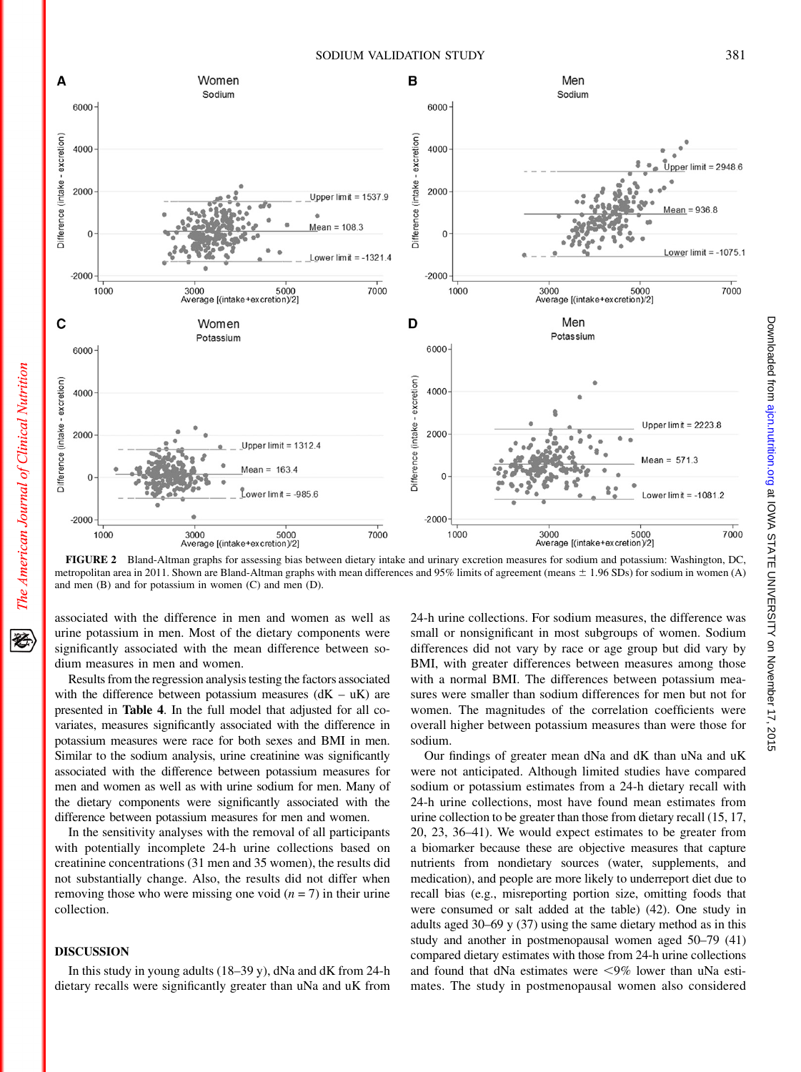

FIGURE 2 Bland-Altman graphs for assessing bias between dietary intake and urinary excretion measures for sodium and potassium: Washington, DC, metropolitan area in 2011. Shown are Bland-Altman graphs with mean differences and 95% limits of agreement (means  $\pm$  1.96 SDs) for sodium in women (A) and men (B) and for potassium in women (C) and men (D).

associated with the difference in men and women as well as urine potassium in men. Most of the dietary components were significantly associated with the mean difference between sodium measures in men and women.

Results from the regression analysis testing the factors associated with the difference between potassium measures  $(dK - uK)$  are presented in Table 4. In the full model that adjusted for all covariates, measures significantly associated with the difference in potassium measures were race for both sexes and BMI in men. Similar to the sodium analysis, urine creatinine was significantly associated with the difference between potassium measures for men and women as well as with urine sodium for men. Many of the dietary components were significantly associated with the difference between potassium measures for men and women.

In the sensitivity analyses with the removal of all participants with potentially incomplete 24-h urine collections based on creatinine concentrations (31 men and 35 women), the results did not substantially change. Also, the results did not differ when removing those who were missing one void  $(n = 7)$  in their urine collection.

# DISCUSSION

The American Journal of Clinical Nutrition

移

In this study in young adults (18–39 y), dNa and dK from 24-h dietary recalls were significantly greater than uNa and uK from

24-h urine collections. For sodium measures, the difference was small or nonsignificant in most subgroups of women. Sodium differences did not vary by race or age group but did vary by BMI, with greater differences between measures among those with a normal BMI. The differences between potassium measures were smaller than sodium differences for men but not for women. The magnitudes of the correlation coefficients were overall higher between potassium measures than were those for sodium.

Our findings of greater mean dNa and dK than uNa and uK were not anticipated. Although limited studies have compared sodium or potassium estimates from a 24-h dietary recall with 24-h urine collections, most have found mean estimates from urine collection to be greater than those from dietary recall (15, 17, 20, 23, 36–41). We would expect estimates to be greater from a biomarker because these are objective measures that capture nutrients from nondietary sources (water, supplements, and medication), and people are more likely to underreport diet due to recall bias (e.g., misreporting portion size, omitting foods that were consumed or salt added at the table) (42). One study in adults aged 30–69 y (37) using the same dietary method as in this study and another in postmenopausal women aged 50–79 (41) compared dietary estimates with those from 24-h urine collections and found that dNa estimates were  $\leq 9\%$  lower than uNa estimates. The study in postmenopausal women also considered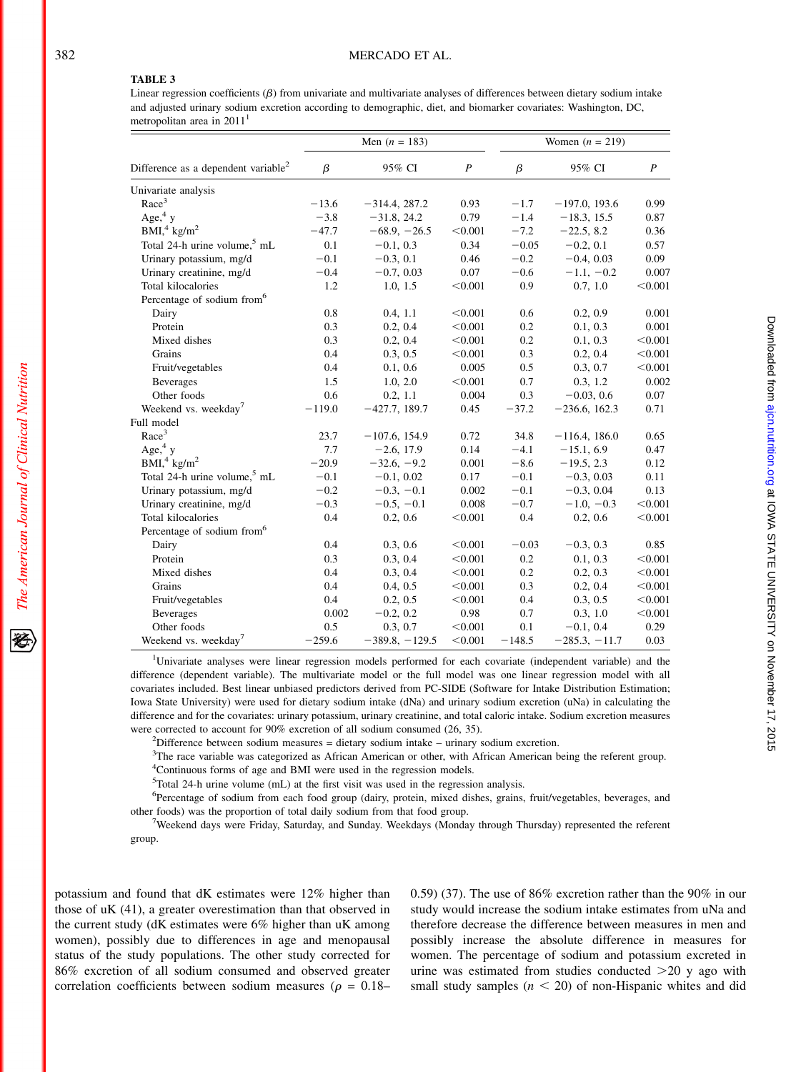# TABLE 3

Linear regression coefficients  $(\beta)$  from univariate and multivariate analyses of differences between dietary sodium intake and adjusted urinary sodium excretion according to demographic, diet, and biomarker covariates: Washington, DC, metropolitan area in  $2011<sup>1</sup>$ 

|                                                 |          | Men $(n = 183)$  |                  |          | Women $(n = 219)$ |                  |
|-------------------------------------------------|----------|------------------|------------------|----------|-------------------|------------------|
| Difference as a dependent variable <sup>2</sup> | $\beta$  | 95% CI           | $\boldsymbol{P}$ | $\beta$  | 95% CI            | $\boldsymbol{P}$ |
| Univariate analysis                             |          |                  |                  |          |                   |                  |
| Race <sup>3</sup>                               | $-13.6$  | $-314.4, 287.2$  | 0.93             | $-1.7$   | $-197.0$ , 193.6  | 0.99             |
| Age, $4y$                                       | $-3.8$   | $-31.8, 24.2$    | 0.79             | $-1.4$   | $-18.3, 15.5$     | 0.87             |
| BMI <sup>4</sup> kg/m <sup>2</sup>              | $-47.7$  | $-68.9, -26.5$   | < 0.001          | $-7.2$   | $-22.5, 8.2$      | 0.36             |
| Total 24-h urine volume, <sup>5</sup> mL        | 0.1      | $-0.1, 0.3$      | 0.34             | $-0.05$  | $-0.2, 0.1$       | 0.57             |
| Urinary potassium, mg/d                         | $-0.1$   | $-0.3, 0.1$      | 0.46             | $-0.2$   | $-0.4, 0.03$      | 0.09             |
| Urinary creatinine, mg/d                        | $-0.4$   | $-0.7, 0.03$     | 0.07             | $-0.6$   | $-1.1, -0.2$      | 0.007            |
| Total kilocalories                              | 1.2      | 1.0, 1.5         | < 0.001          | 0.9      | 0.7, 1.0          | < 0.001          |
| Percentage of sodium from <sup>6</sup>          |          |                  |                  |          |                   |                  |
| Dairy                                           | 0.8      | 0.4, 1.1         | < 0.001          | 0.6      | 0.2, 0.9          | 0.001            |
| Protein                                         | 0.3      | 0.2, 0.4         | < 0.001          | 0.2      | 0.1, 0.3          | 0.001            |
| Mixed dishes                                    | 0.3      | 0.2, 0.4         | < 0.001          | 0.2      | 0.1, 0.3          | < 0.001          |
| Grains                                          | 0.4      | 0.3, 0.5         | < 0.001          | 0.3      | 0.2, 0.4          | < 0.001          |
| Fruit/vegetables                                | 0.4      | 0.1, 0.6         | 0.005            | 0.5      | 0.3, 0.7          | < 0.001          |
| <b>Beverages</b>                                | 1.5      | 1.0, 2.0         | < 0.001          | 0.7      | 0.3, 1.2          | 0.002            |
| Other foods                                     | 0.6      | 0.2, 1.1         | 0.004            | 0.3      | $-0.03, 0.6$      | 0.07             |
| Weekend vs. weekday <sup>7</sup>                | $-119.0$ | $-427.7, 189.7$  | 0.45             | $-37.2$  | $-236.6, 162.3$   | 0.71             |
| Full model                                      |          |                  |                  |          |                   |                  |
| Race <sup>3</sup>                               | 23.7     | $-107.6$ , 154.9 | 0.72             | 34.8     | $-116.4, 186.0$   | 0.65             |
| Age, $4y$                                       | 7.7      | $-2.6, 17.9$     | 0.14             | $-4.1$   | $-15.1, 6.9$      | 0.47             |
| BMI, 4 kg/m <sup>2</sup>                        | $-20.9$  | $-32.6, -9.2$    | 0.001            | $-8.6$   | $-19.5, 2.3$      | 0.12             |
| Total 24-h urine volume, <sup>5</sup> mL        | $-0.1$   | $-0.1, 0.02$     | 0.17             | $-0.1$   | $-0.3, 0.03$      | 0.11             |
| Urinary potassium, mg/d                         | $-0.2$   | $-0.3, -0.1$     | 0.002            | $-0.1$   | $-0.3, 0.04$      | 0.13             |
| Urinary creatinine, mg/d                        | $-0.3$   | $-0.5, -0.1$     | 0.008            | $-0.7$   | $-1.0, -0.3$      | < 0.001          |
| Total kilocalories                              | 0.4      | 0.2, 0.6         | < 0.001          | 0.4      | 0.2, 0.6          | < 0.001          |
| Percentage of sodium from <sup>6</sup>          |          |                  |                  |          |                   |                  |
| Dairy                                           | 0.4      | 0.3, 0.6         | < 0.001          | $-0.03$  | $-0.3, 0.3$       | 0.85             |
| Protein                                         | 0.3      | 0.3, 0.4         | < 0.001          | 0.2      | 0.1, 0.3          | < 0.001          |
| Mixed dishes                                    | 0.4      | 0.3, 0.4         | < 0.001          | 0.2      | 0.2, 0.3          | < 0.001          |
| Grains                                          | 0.4      | 0.4, 0.5         | < 0.001          | 0.3      | 0.2, 0.4          | < 0.001          |
| Fruit/vegetables                                | 0.4      | 0.2, 0.5         | < 0.001          | 0.4      | 0.3, 0.5          | < 0.001          |
| <b>Beverages</b>                                | 0.002    | $-0.2, 0.2$      | 0.98             | 0.7      | 0.3, 1.0          | < 0.001          |
| Other foods                                     | 0.5      | 0.3, 0.7         | < 0.001          | 0.1      | $-0.1, 0.4$       | 0.29             |
| Weekend vs. weekday <sup>7</sup>                | $-259.6$ | $-389.8, -129.5$ | < 0.001          | $-148.5$ | $-285.3, -11.7$   | 0.03             |

<sup>1</sup>Univariate analyses were linear regression models performed for each covariate (independent variable) and the difference (dependent variable). The multivariate model or the full model was one linear regression model with all covariates included. Best linear unbiased predictors derived from PC-SIDE (Software for Intake Distribution Estimation; Iowa State University) were used for dietary sodium intake (dNa) and urinary sodium excretion (uNa) in calculating the difference and for the covariates: urinary potassium, urinary creatinine, and total caloric intake. Sodium excretion measures were corrected to account for 90% excretion of all sodium consumed (26, 35).

 $<sup>2</sup>Difference between sodium measures = dietary sodium intake - urinary sodium excretion.$ </sup>

<sup>3</sup>The race variable was categorized as African American or other, with African American being the referent group. 4 Continuous forms of age and BMI were used in the regression models.

<sup>5</sup>Total 24-h urine volume (mL) at the first visit was used in the regression analysis.

<sup>6</sup>Percentage of sodium from each food group (dairy, protein, mixed dishes, grains, fruit/vegetables, beverages, and other foods) was the proportion of total daily sodium from that food group. <sup>7</sup>

<sup>7</sup>Weekend days were Friday, Saturday, and Sunday. Weekdays (Monday through Thursday) represented the referent group.

potassium and found that dK estimates were 12% higher than those of uK (41), a greater overestimation than that observed in the current study (dK estimates were 6% higher than uK among women), possibly due to differences in age and menopausal status of the study populations. The other study corrected for 86% excretion of all sodium consumed and observed greater correlation coefficients between sodium measures ( $\rho = 0.18-$  0.59) (37). The use of 86% excretion rather than the 90% in our study would increase the sodium intake estimates from uNa and therefore decrease the difference between measures in men and possibly increase the absolute difference in measures for women. The percentage of sodium and potassium excreted in urine was estimated from studies conducted  $>20$  y ago with small study samples  $(n < 20)$  of non-Hispanic whites and did

The American Journal of Clinical Nutrition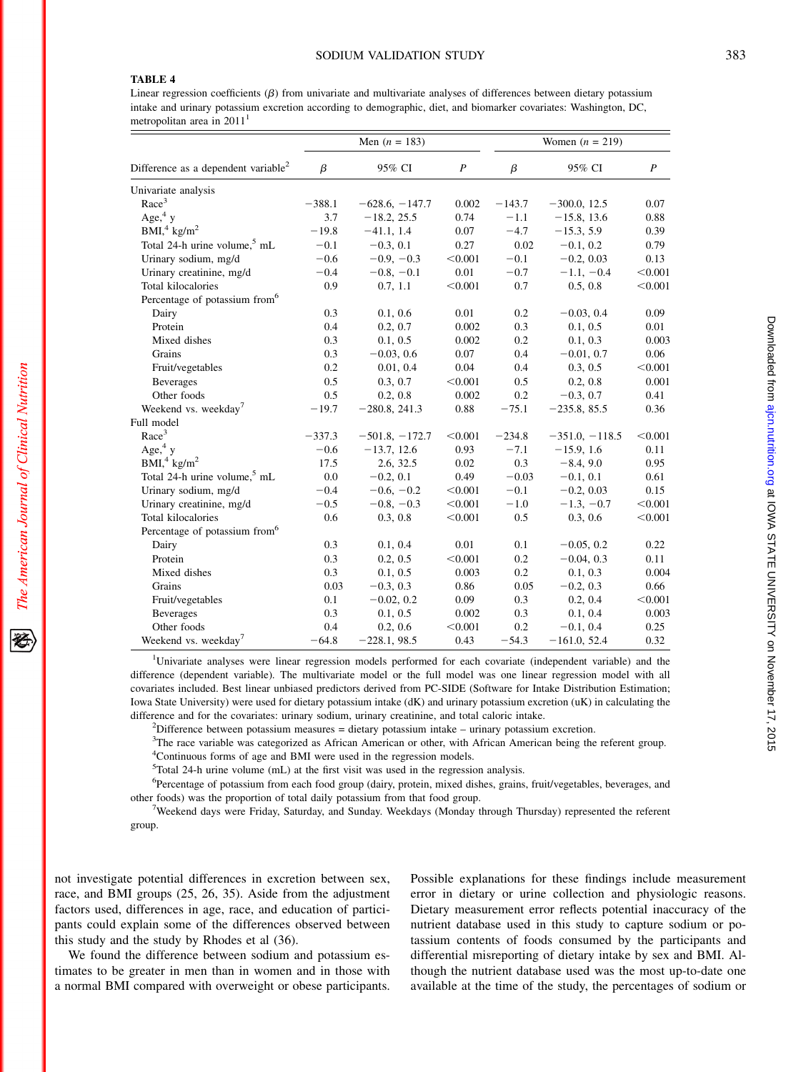# TABLE 4

The American Journal of Clinical Nutrition

Linear regression coefficients  $(\beta)$  from univariate and multivariate analyses of differences between dietary potassium intake and urinary potassium excretion according to demographic, diet, and biomarker covariates: Washington, DC, metropolitan area in  $2011<sup>1</sup>$ 

|                                                 |          | Men $(n = 183)$     |                  |          | Women $(n = 219)$   |                  |
|-------------------------------------------------|----------|---------------------|------------------|----------|---------------------|------------------|
| Difference as a dependent variable <sup>2</sup> | $\beta$  | 95% CI              | $\boldsymbol{P}$ | $\beta$  | 95% CI              | $\boldsymbol{P}$ |
| Univariate analysis                             |          |                     |                  |          |                     |                  |
| Race <sup>3</sup>                               | $-388.1$ | $-628.6, -147.7$    | 0.002            | $-143.7$ | $-300.0, 12.5$      | 0.07             |
| Age, $4y$                                       | 3.7      | $-18.2, 25.5$       | 0.74             | $-1.1$   | $-15.8, 13.6$       | 0.88             |
| BMI <sup>4</sup> kg/m <sup>2</sup>              | $-19.8$  | $-41.1, 1.4$        | 0.07             | $-4.7$   | $-15.3, 5.9$        | 0.39             |
| Total 24-h urine volume, <sup>5</sup> mL        | $-0.1$   | $-0.3, 0.1$         | 0.27             | 0.02     | $-0.1, 0.2$         | 0.79             |
| Urinary sodium, mg/d                            | $-0.6$   | $-0.9, -0.3$        | < 0.001          | $-0.1$   | $-0.2, 0.03$        | 0.13             |
| Urinary creatinine, mg/d                        | $-0.4$   | $-0.8, -0.1$        | 0.01             | $-0.7$   | $-1.1, -0.4$        | < 0.001          |
| Total kilocalories                              | 0.9      | 0.7, 1.1            | < 0.001          | 0.7      | 0.5, 0.8            | < 0.001          |
| Percentage of potassium from <sup>6</sup>       |          |                     |                  |          |                     |                  |
| Dairy                                           | 0.3      | 0.1, 0.6            | 0.01             | 0.2      | $-0.03, 0.4$        | 0.09             |
| Protein                                         | 0.4      | 0.2, 0.7            | 0.002            | 0.3      | 0.1, 0.5            | 0.01             |
| Mixed dishes                                    | 0.3      | 0.1, 0.5            | 0.002            | 0.2      | 0.1, 0.3            | 0.003            |
| Grains                                          | 0.3      | $-0.03, 0.6$        | 0.07             | 0.4      | $-0.01, 0.7$        | 0.06             |
| Fruit/vegetables                                | 0.2      | 0.01, 0.4           | 0.04             | 0.4      | 0.3, 0.5            | < 0.001          |
| <b>Beverages</b>                                | 0.5      | 0.3, 0.7            | < 0.001          | 0.5      | 0.2, 0.8            | 0.001            |
| Other foods                                     | 0.5      | 0.2, 0.8            | 0.002            | 0.2      | $-0.3, 0.7$         | 0.41             |
| Weekend vs. weekday <sup>7</sup>                | $-19.7$  | $-280.8, 241.3$     | 0.88             | $-75.1$  | $-235.8, 85.5$      | 0.36             |
| Full model                                      |          |                     |                  |          |                     |                  |
| Race <sup>3</sup>                               | $-337.3$ | $-501.8$ , $-172.7$ | < 0.001          | $-234.8$ | $-351.0$ , $-118.5$ | < 0.001          |
| Age, $4y$                                       | $-0.6$   | $-13.7, 12.6$       | 0.93             | $-7.1$   | $-15.9, 1.6$        | 0.11             |
| BMI, 4 kg/m <sup>2</sup>                        | 17.5     | 2.6, 32.5           | 0.02             | 0.3      | $-8.4, 9.0$         | 0.95             |
| Total 24-h urine volume, <sup>5</sup> mL        | 0.0      | $-0.2, 0.1$         | 0.49             | $-0.03$  | $-0.1, 0.1$         | 0.61             |
| Urinary sodium, mg/d                            | $-0.4$   | $-0.6, -0.2$        | < 0.001          | $-0.1$   | $-0.2, 0.03$        | 0.15             |
| Urinary creatinine, mg/d                        | $-0.5$   | $-0.8, -0.3$        | < 0.001          | $-1.0$   | $-1.3, -0.7$        | < 0.001          |
| Total kilocalories                              | 0.6      | 0.3, 0.8            | < 0.001          | 0.5      | 0.3, 0.6            | < 0.001          |
| Percentage of potassium from <sup>6</sup>       |          |                     |                  |          |                     |                  |
| Dairy                                           | 0.3      | 0.1, 0.4            | 0.01             | 0.1      | $-0.05, 0.2$        | 0.22             |
| Protein                                         | 0.3      | 0.2, 0.5            | < 0.001          | 0.2      | $-0.04, 0.3$        | 0.11             |
| Mixed dishes                                    | 0.3      | 0.1, 0.5            | 0.003            | 0.2      | 0.1, 0.3            | 0.004            |
| Grains                                          | 0.03     | $-0.3, 0.3$         | 0.86             | 0.05     | $-0.2, 0.3$         | 0.66             |
| Fruit/vegetables                                | 0.1      | $-0.02, 0.2$        | 0.09             | 0.3      | 0.2, 0.4            | < 0.001          |
| <b>Beverages</b>                                | 0.3      | 0.1, 0.5            | 0.002            | 0.3      | 0.1, 0.4            | 0.003            |
| Other foods                                     | 0.4      | 0.2, 0.6            | < 0.001          | 0.2      | $-0.1, 0.4$         | 0.25             |
| Weekend vs. weekday <sup>7</sup>                | $-64.8$  | $-228.1, 98.5$      | 0.43             | $-54.3$  | $-161.0, 52.4$      | 0.32             |

<sup>1</sup>Univariate analyses were linear regression models performed for each covariate (independent variable) and the difference (dependent variable). The multivariate model or the full model was one linear regression model with all covariates included. Best linear unbiased predictors derived from PC-SIDE (Software for Intake Distribution Estimation; Iowa State University) were used for dietary potassium intake (dK) and urinary potassium excretion (uK) in calculating the difference and for the covariates: urinary sodium, urinary creatinine, and total caloric intake. <sup>2</sup>

 $<sup>2</sup>Difference between potassium measures = dietary potassium intake - urinary potassium exercise.$ </sup>

<sup>3</sup>The race variable was categorized as African American or other, with African American being the referent group. 4 Continuous forms of age and BMI were used in the regression models.

5 Total 24-h urine volume (mL) at the first visit was used in the regression analysis.

<sup>6</sup>Percentage of potassium from each food group (dairy, protein, mixed dishes, grains, fruit/vegetables, beverages, and other foods) was the proportion of total daily potassium from that food group.

<sup>7</sup>Weekend days were Friday, Saturday, and Sunday. Weekdays (Monday through Thursday) represented the referent group.

not investigate potential differences in excretion between sex, race, and BMI groups (25, 26, 35). Aside from the adjustment factors used, differences in age, race, and education of participants could explain some of the differences observed between this study and the study by Rhodes et al (36).

We found the difference between sodium and potassium estimates to be greater in men than in women and in those with a normal BMI compared with overweight or obese participants.

Possible explanations for these findings include measurement error in dietary or urine collection and physiologic reasons. Dietary measurement error reflects potential inaccuracy of the nutrient database used in this study to capture sodium or potassium contents of foods consumed by the participants and differential misreporting of dietary intake by sex and BMI. Although the nutrient database used was the most up-to-date one available at the time of the study, the percentages of sodium or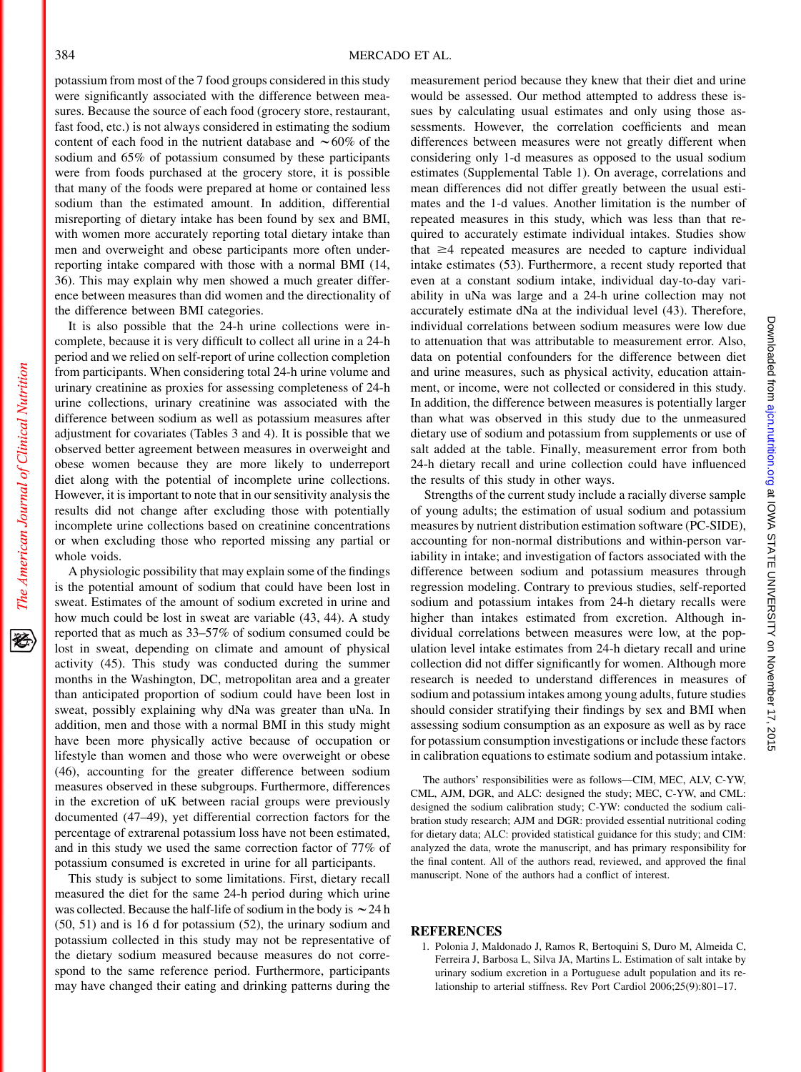potassium from most of the 7 food groups considered in this study were significantly associated with the difference between measures. Because the source of each food (grocery store, restaurant, fast food, etc.) is not always considered in estimating the sodium content of each food in the nutrient database and  $\sim 60\%$  of the sodium and 65% of potassium consumed by these participants were from foods purchased at the grocery store, it is possible that many of the foods were prepared at home or contained less sodium than the estimated amount. In addition, differential misreporting of dietary intake has been found by sex and BMI, with women more accurately reporting total dietary intake than men and overweight and obese participants more often underreporting intake compared with those with a normal BMI (14, 36). This may explain why men showed a much greater difference between measures than did women and the directionality of the difference between BMI categories.

It is also possible that the 24-h urine collections were incomplete, because it is very difficult to collect all urine in a 24-h period and we relied on self-report of urine collection completion from participants. When considering total 24-h urine volume and urinary creatinine as proxies for assessing completeness of 24-h urine collections, urinary creatinine was associated with the difference between sodium as well as potassium measures after adjustment for covariates (Tables 3 and 4). It is possible that we observed better agreement between measures in overweight and obese women because they are more likely to underreport diet along with the potential of incomplete urine collections. However, it is important to note that in our sensitivity analysis the results did not change after excluding those with potentially incomplete urine collections based on creatinine concentrations or when excluding those who reported missing any partial or whole voids.

A physiologic possibility that may explain some of the findings is the potential amount of sodium that could have been lost in sweat. Estimates of the amount of sodium excreted in urine and how much could be lost in sweat are variable (43, 44). A study reported that as much as 33–57% of sodium consumed could be lost in sweat, depending on climate and amount of physical activity (45). This study was conducted during the summer months in the Washington, DC, metropolitan area and a greater than anticipated proportion of sodium could have been lost in sweat, possibly explaining why dNa was greater than uNa. In addition, men and those with a normal BMI in this study might have been more physically active because of occupation or lifestyle than women and those who were overweight or obese (46), accounting for the greater difference between sodium measures observed in these subgroups. Furthermore, differences in the excretion of uK between racial groups were previously documented (47–49), yet differential correction factors for the percentage of extrarenal potassium loss have not been estimated, and in this study we used the same correction factor of 77% of potassium consumed is excreted in urine for all participants.

This study is subject to some limitations. First, dietary recall measured the diet for the same 24-h period during which urine was collected. Because the half-life of sodium in the body is  $\sim$  24 h (50, 51) and is 16 d for potassium (52), the urinary sodium and potassium collected in this study may not be representative of the dietary sodium measured because measures do not correspond to the same reference period. Furthermore, participants may have changed their eating and drinking patterns during the

measurement period because they knew that their diet and urine would be assessed. Our method attempted to address these issues by calculating usual estimates and only using those assessments. However, the correlation coefficients and mean differences between measures were not greatly different when considering only 1-d measures as opposed to the usual sodium estimates (Supplemental Table 1). On average, correlations and mean differences did not differ greatly between the usual estimates and the 1-d values. Another limitation is the number of repeated measures in this study, which was less than that required to accurately estimate individual intakes. Studies show that  $\geq$ 4 repeated measures are needed to capture individual intake estimates (53). Furthermore, a recent study reported that even at a constant sodium intake, individual day-to-day variability in uNa was large and a 24-h urine collection may not accurately estimate dNa at the individual level (43). Therefore, individual correlations between sodium measures were low due to attenuation that was attributable to measurement error. Also, data on potential confounders for the difference between diet and urine measures, such as physical activity, education attainment, or income, were not collected or considered in this study. In addition, the difference between measures is potentially larger than what was observed in this study due to the unmeasured dietary use of sodium and potassium from supplements or use of salt added at the table. Finally, measurement error from both 24-h dietary recall and urine collection could have influenced the results of this study in other ways.

Strengths of the current study include a racially diverse sample of young adults; the estimation of usual sodium and potassium measures by nutrient distribution estimation software (PC-SIDE), accounting for non-normal distributions and within-person variability in intake; and investigation of factors associated with the difference between sodium and potassium measures through regression modeling. Contrary to previous studies, self-reported sodium and potassium intakes from 24-h dietary recalls were higher than intakes estimated from excretion. Although individual correlations between measures were low, at the population level intake estimates from 24-h dietary recall and urine collection did not differ significantly for women. Although more research is needed to understand differences in measures of sodium and potassium intakes among young adults, future studies should consider stratifying their findings by sex and BMI when assessing sodium consumption as an exposure as well as by race for potassium consumption investigations or include these factors in calibration equations to estimate sodium and potassium intake.

The authors' responsibilities were as follows—CIM, MEC, ALV, C-YW, CML, AJM, DGR, and ALC: designed the study; MEC, C-YW, and CML: designed the sodium calibration study; C-YW: conducted the sodium calibration study research; AJM and DGR: provided essential nutritional coding for dietary data; ALC: provided statistical guidance for this study; and CIM: analyzed the data, wrote the manuscript, and has primary responsibility for the final content. All of the authors read, reviewed, and approved the final manuscript. None of the authors had a conflict of interest.

#### **REFERENCES**

1. Polonia J, Maldonado J, Ramos R, Bertoquini S, Duro M, Almeida C, Ferreira J, Barbosa L, Silva JA, Martins L. Estimation of salt intake by urinary sodium excretion in a Portuguese adult population and its relationship to arterial stiffness. Rev Port Cardiol 2006;25(9):801–17.

犵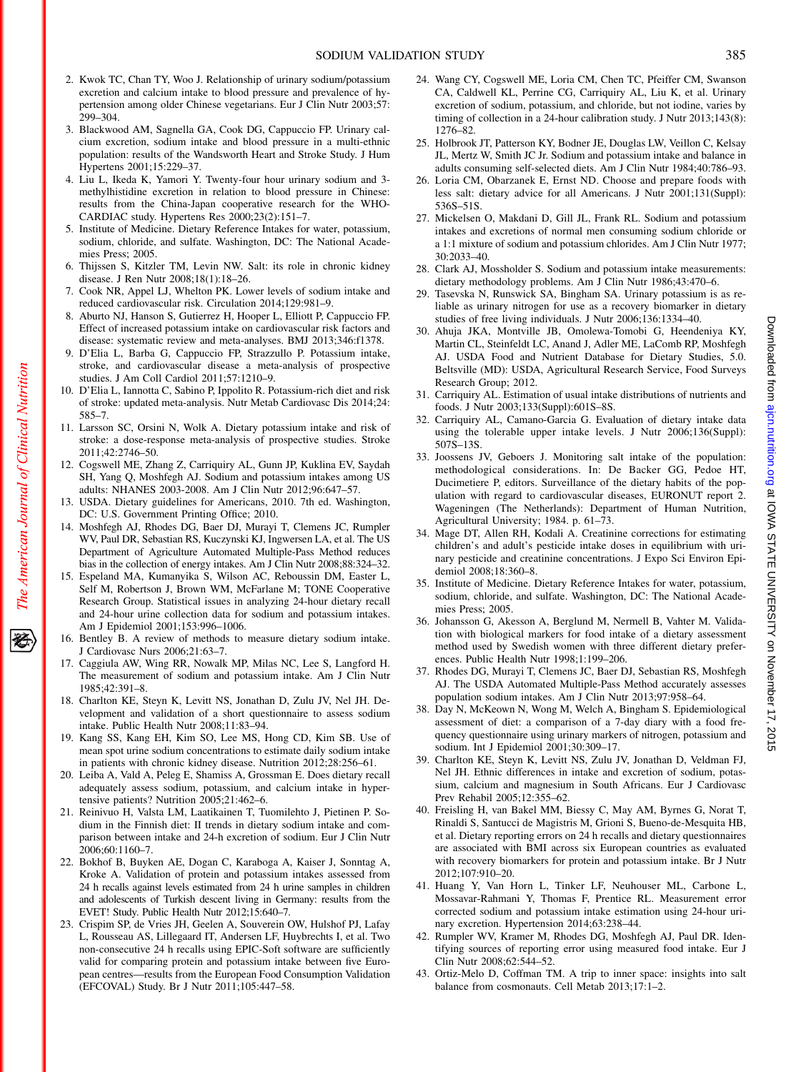- 2. Kwok TC, Chan TY, Woo J. Relationship of urinary sodium/potassium excretion and calcium intake to blood pressure and prevalence of hypertension among older Chinese vegetarians. Eur J Clin Nutr 2003;57: 299–304.
- 3. Blackwood AM, Sagnella GA, Cook DG, Cappuccio FP. Urinary calcium excretion, sodium intake and blood pressure in a multi-ethnic population: results of the Wandsworth Heart and Stroke Study. J Hum Hypertens 2001;15:229–37.
- 4. Liu L, Ikeda K, Yamori Y. Twenty-four hour urinary sodium and 3 methylhistidine excretion in relation to blood pressure in Chinese: results from the China-Japan cooperative research for the WHO-CARDIAC study. Hypertens Res 2000;23(2):151–7.
- 5. Institute of Medicine. Dietary Reference Intakes for water, potassium, sodium, chloride, and sulfate. Washington, DC: The National Academies Press; 2005.
- 6. Thijssen S, Kitzler TM, Levin NW. Salt: its role in chronic kidney disease. J Ren Nutr 2008;18(1):18–26.
- 7. Cook NR, Appel LJ, Whelton PK. Lower levels of sodium intake and reduced cardiovascular risk. Circulation 2014;129:981–9.
- 8. Aburto NJ, Hanson S, Gutierrez H, Hooper L, Elliott P, Cappuccio FP. Effect of increased potassium intake on cardiovascular risk factors and disease: systematic review and meta-analyses. BMJ 2013;346:f1378.
- 9. D'Elia L, Barba G, Cappuccio FP, Strazzullo P. Potassium intake, stroke, and cardiovascular disease a meta-analysis of prospective studies. J Am Coll Cardiol 2011;57:1210–9.
- 10. D'Elia L, Iannotta C, Sabino P, Ippolito R. Potassium-rich diet and risk of stroke: updated meta-analysis. Nutr Metab Cardiovasc Dis 2014;24: 585–7.
- 11. Larsson SC, Orsini N, Wolk A. Dietary potassium intake and risk of stroke: a dose-response meta-analysis of prospective studies. Stroke 2011;42:2746–50.
- 12. Cogswell ME, Zhang Z, Carriquiry AL, Gunn JP, Kuklina EV, Saydah SH, Yang Q, Moshfegh AJ. Sodium and potassium intakes among US adults: NHANES 2003-2008. Am J Clin Nutr 2012;96:647–57.
- 13. USDA. Dietary guidelines for Americans, 2010. 7th ed. Washington, DC: U.S. Government Printing Office; 2010.
- 14. Moshfegh AJ, Rhodes DG, Baer DJ, Murayi T, Clemens JC, Rumpler WV, Paul DR, Sebastian RS, Kuczynski KJ, Ingwersen LA, et al. The US Department of Agriculture Automated Multiple-Pass Method reduces bias in the collection of energy intakes. Am J Clin Nutr 2008;88:324–32.
- 15. Espeland MA, Kumanyika S, Wilson AC, Reboussin DM, Easter L, Self M, Robertson J, Brown WM, McFarlane M; TONE Cooperative Research Group. Statistical issues in analyzing 24-hour dietary recall and 24-hour urine collection data for sodium and potassium intakes. Am J Epidemiol 2001;153:996–1006.
- 16. Bentley B. A review of methods to measure dietary sodium intake. J Cardiovasc Nurs 2006;21:63–7.
- 17. Caggiula AW, Wing RR, Nowalk MP, Milas NC, Lee S, Langford H. The measurement of sodium and potassium intake. Am J Clin Nutr 1985;42:391–8.
- 18. Charlton KE, Steyn K, Levitt NS, Jonathan D, Zulu JV, Nel JH. Development and validation of a short questionnaire to assess sodium intake. Public Health Nutr 2008;11:83–94.
- 19. Kang SS, Kang EH, Kim SO, Lee MS, Hong CD, Kim SB. Use of mean spot urine sodium concentrations to estimate daily sodium intake in patients with chronic kidney disease. Nutrition 2012;28:256–61.
- 20. Leiba A, Vald A, Peleg E, Shamiss A, Grossman E. Does dietary recall adequately assess sodium, potassium, and calcium intake in hypertensive patients? Nutrition 2005;21:462–6.
- 21. Reinivuo H, Valsta LM, Laatikainen T, Tuomilehto J, Pietinen P. Sodium in the Finnish diet: II trends in dietary sodium intake and comparison between intake and 24-h excretion of sodium. Eur J Clin Nutr 2006;60:1160–7.
- 22. Bokhof B, Buyken AE, Dogan C, Karaboga A, Kaiser J, Sonntag A, Kroke A. Validation of protein and potassium intakes assessed from 24 h recalls against levels estimated from 24 h urine samples in children and adolescents of Turkish descent living in Germany: results from the EVET! Study. Public Health Nutr 2012;15:640–7.
- 23. Crispim SP, de Vries JH, Geelen A, Souverein OW, Hulshof PJ, Lafay L, Rousseau AS, Lillegaard IT, Andersen LF, Huybrechts I, et al. Two non-consecutive 24 h recalls using EPIC-Soft software are sufficiently valid for comparing protein and potassium intake between five European centres—results from the European Food Consumption Validation (EFCOVAL) Study. Br J Nutr 2011;105:447–58.
- 24. Wang CY, Cogswell ME, Loria CM, Chen TC, Pfeiffer CM, Swanson CA, Caldwell KL, Perrine CG, Carriquiry AL, Liu K, et al. Urinary excretion of sodium, potassium, and chloride, but not iodine, varies by timing of collection in a 24-hour calibration study. J Nutr 2013;143(8): 1276–82.
- 25. Holbrook JT, Patterson KY, Bodner JE, Douglas LW, Veillon C, Kelsay JL, Mertz W, Smith JC Jr. Sodium and potassium intake and balance in adults consuming self-selected diets. Am J Clin Nutr 1984;40:786–93.
- 26. Loria CM, Obarzanek E, Ernst ND. Choose and prepare foods with less salt: dietary advice for all Americans. J Nutr 2001;131(Suppl): 536S–51S.
- 27. Mickelsen O, Makdani D, Gill JL, Frank RL. Sodium and potassium intakes and excretions of normal men consuming sodium chloride or a 1:1 mixture of sodium and potassium chlorides. Am J Clin Nutr 1977; 30:2033–40.
- 28. Clark AJ, Mossholder S. Sodium and potassium intake measurements: dietary methodology problems. Am J Clin Nutr 1986;43:470–6.
- 29. Tasevska N, Runswick SA, Bingham SA. Urinary potassium is as reliable as urinary nitrogen for use as a recovery biomarker in dietary studies of free living individuals. J Nutr 2006;136:1334–40.
- 30. Ahuja JKA, Montville JB, Omolewa-Tomobi G, Heendeniya KY, Martin CL, Steinfeldt LC, Anand J, Adler ME, LaComb RP, Moshfegh AJ. USDA Food and Nutrient Database for Dietary Studies, 5.0. Beltsville (MD): USDA, Agricultural Research Service, Food Surveys Research Group; 2012.
- 31. Carriquiry AL. Estimation of usual intake distributions of nutrients and foods. J Nutr 2003;133(Suppl):601S–8S.
- 32. Carriquiry AL, Camano-Garcia G. Evaluation of dietary intake data using the tolerable upper intake levels. J Nutr 2006;136(Suppl): 507S–13S.
- 33. Joossens JV, Geboers J. Monitoring salt intake of the population: methodological considerations. In: De Backer GG, Pedoe HT, Ducimetiere P, editors. Surveillance of the dietary habits of the population with regard to cardiovascular diseases, EURONUT report 2. Wageningen (The Netherlands): Department of Human Nutrition, Agricultural University; 1984. p. 61–73.
- 34. Mage DT, Allen RH, Kodali A. Creatinine corrections for estimating children's and adult's pesticide intake doses in equilibrium with urinary pesticide and creatinine concentrations. J Expo Sci Environ Epidemiol 2008;18:360–8.
- 35. Institute of Medicine. Dietary Reference Intakes for water, potassium, sodium, chloride, and sulfate. Washington, DC: The National Academies Press; 2005.
- 36. Johansson G, Akesson A, Berglund M, Nermell B, Vahter M. Validation with biological markers for food intake of a dietary assessment method used by Swedish women with three different dietary preferences. Public Health Nutr 1998;1:199–206.
- 37. Rhodes DG, Murayi T, Clemens JC, Baer DJ, Sebastian RS, Moshfegh AJ. The USDA Automated Multiple-Pass Method accurately assesses population sodium intakes. Am J Clin Nutr 2013;97:958–64.
- 38. Day N, McKeown N, Wong M, Welch A, Bingham S. Epidemiological assessment of diet: a comparison of a 7-day diary with a food frequency questionnaire using urinary markers of nitrogen, potassium and sodium. Int J Epidemiol 2001;30:309–17.
- 39. Charlton KE, Steyn K, Levitt NS, Zulu JV, Jonathan D, Veldman FJ, Nel JH. Ethnic differences in intake and excretion of sodium, potassium, calcium and magnesium in South Africans. Eur J Cardiovasc Prev Rehabil 2005;12:355–62.
- 40. Freisling H, van Bakel MM, Biessy C, May AM, Byrnes G, Norat T, Rinaldi S, Santucci de Magistris M, Grioni S, Bueno-de-Mesquita HB, et al. Dietary reporting errors on 24 h recalls and dietary questionnaires are associated with BMI across six European countries as evaluated with recovery biomarkers for protein and potassium intake. Br J Nutr 2012;107:910–20.
- 41. Huang Y, Van Horn L, Tinker LF, Neuhouser ML, Carbone L, Mossavar-Rahmani Y, Thomas F, Prentice RL. Measurement error corrected sodium and potassium intake estimation using 24-hour urinary excretion. Hypertension 2014;63:238–44.
- 42. Rumpler WV, Kramer M, Rhodes DG, Moshfegh AJ, Paul DR. Identifying sources of reporting error using measured food intake. Eur J Clin Nutr 2008;62:544–52.
- 43. Ortiz-Melo D, Coffman TM. A trip to inner space: insights into salt balance from cosmonauts. Cell Metab 2013;17:1–2.

经